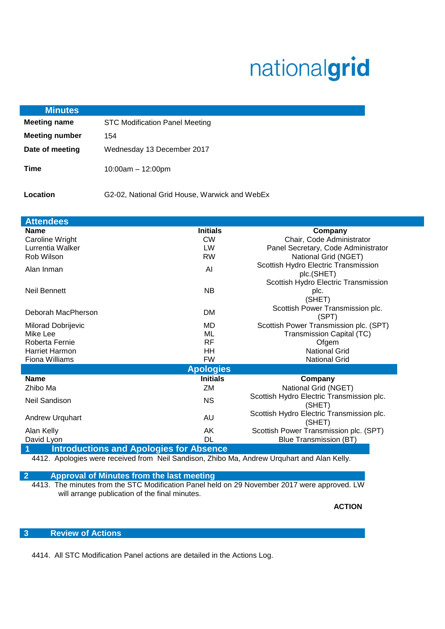# nationalgrid

| <b>Minutes</b>        |                                               |
|-----------------------|-----------------------------------------------|
| <b>Meeting name</b>   | <b>STC Modification Panel Meeting</b>         |
| <b>Meeting number</b> | 154                                           |
| Date of meeting       | Wednesday 13 December 2017                    |
| Time                  | $10:00$ am $-12:00$ pm                        |
| Location              | G2-02, National Grid House, Warwick and WebEx |

| <b>Attendees</b>                               |                  |                                                     |
|------------------------------------------------|------------------|-----------------------------------------------------|
| <b>Name</b>                                    | <b>Initials</b>  | Company                                             |
| Caroline Wright                                | <b>CW</b>        | Chair, Code Administrator                           |
| Lurrentia Walker                               | LW               | Panel Secretary, Code Administrator                 |
| Rob Wilson                                     | <b>RW</b>        | National Grid (NGET)                                |
| Alan Inman                                     | AI               | Scottish Hydro Electric Transmission<br>plc.(SHET)  |
|                                                |                  | Scottish Hydro Electric Transmission                |
| <b>Neil Bennett</b>                            | <b>NB</b>        | plc.<br>(SHET)                                      |
| Deborah MacPherson                             | DM               | Scottish Power Transmission plc.<br>(SPT)           |
| Milorad Dobrijevic                             | MD               | Scottish Power Transmission plc. (SPT)              |
| Mike Lee                                       | ML               | Transmission Capital (TC)                           |
| Roberta Fernie                                 | <b>RF</b>        | Ofgem                                               |
| <b>Harriet Harmon</b>                          | HH               | <b>National Grid</b>                                |
| Fiona Williams                                 | <b>FW</b>        | <b>National Grid</b>                                |
|                                                | <b>Apologies</b> |                                                     |
| <b>Name</b>                                    | <b>Initials</b>  | Company                                             |
| Zhibo Ma                                       | ZM               | National Grid (NGET)                                |
| Neil Sandison                                  | <b>NS</b>        | Scottish Hydro Electric Transmission plc.<br>(SHET) |
| <b>Andrew Urquhart</b>                         | AU               | Scottish Hydro Electric Transmission plc.<br>(SHET) |
| Alan Kelly                                     | AK               | Scottish Power Transmission plc. (SPT)              |
| David Lyon                                     | DL               | <b>Blue Transmission (BT)</b>                       |
| <b>Introductions and Apologies for Absence</b> |                  |                                                     |

4412. Apologies were received from Neil Sandison, Zhibo Ma, Andrew Urquhart and Alan Kelly.

**2 Approval of Minutes from the last meeting**

4413. The minutes from the STC Modification Panel held on 29 November 2017 were approved. LW will arrange publication of the final minutes.

**ACTION**

## **3 Review of Actions**

4414. All STC Modification Panel actions are detailed in the Actions Log.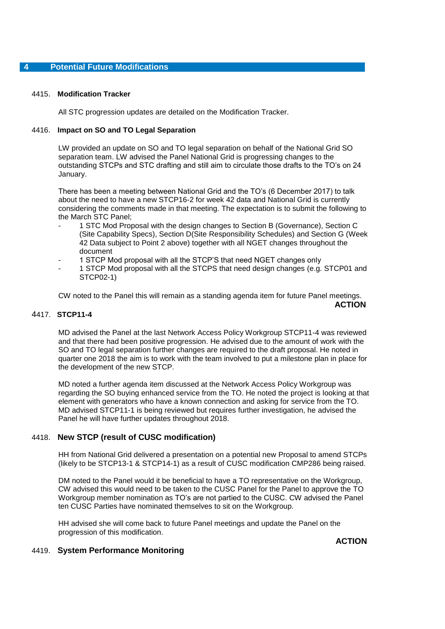#### 4415. **Modification Tracker**

All STC progression updates are detailed on the Modification Tracker.

### 4416. **Impact on SO and TO Legal Separation**

LW provided an update on SO and TO legal separation on behalf of the National Grid SO separation team. LW advised the Panel National Grid is progressing changes to the outstanding STCPs and STC drafting and still aim to circulate those drafts to the TO's on 24 January.

There has been a meeting between National Grid and the TO's (6 December 2017) to talk about the need to have a new STCP16-2 for week 42 data and National Grid is currently considering the comments made in that meeting. The expectation is to submit the following to the March STC Panel;

- 1 STC Mod Proposal with the design changes to Section B (Governance), Section C (Site Capability Specs), Section D(Site Responsibility Schedules) and Section G (Week 42 Data subject to Point 2 above) together with all NGET changes throughout the document
- 1 STCP Mod proposal with all the STCP'S that need NGET changes only
- 1 STCP Mod proposal with all the STCPS that need design changes (e.g. STCP01 and STCP02-1)

CW noted to the Panel this will remain as a standing agenda item for future Panel meetings. **ACTION**

## 4417. **STCP11-4**

MD advised the Panel at the last Network Access Policy Workgroup STCP11-4 was reviewed and that there had been positive progression. He advised due to the amount of work with the SO and TO legal separation further changes are required to the draft proposal. He noted in quarter one 2018 the aim is to work with the team involved to put a milestone plan in place for the development of the new STCP.

MD noted a further agenda item discussed at the Network Access Policy Workgroup was regarding the SO buying enhanced service from the TO. He noted the project is looking at that element with generators who have a known connection and asking for service from the TO. MD advised STCP11-1 is being reviewed but requires further investigation, he advised the Panel he will have further updates throughout 2018.

## 4418. **New STCP (result of CUSC modification)**

HH from National Grid delivered a presentation on a potential new Proposal to amend STCPs (likely to be STCP13-1 & STCP14-1) as a result of CUSC modification CMP286 being raised.

DM noted to the Panel would it be beneficial to have a TO representative on the Workgroup, CW advised this would need to be taken to the CUSC Panel for the Panel to approve the TO Workgroup member nomination as TO's are not partied to the CUSC. CW advised the Panel ten CUSC Parties have nominated themselves to sit on the Workgroup.

HH advised she will come back to future Panel meetings and update the Panel on the progression of this modification.

**ACTION** 

## 4419. **System Performance Monitoring**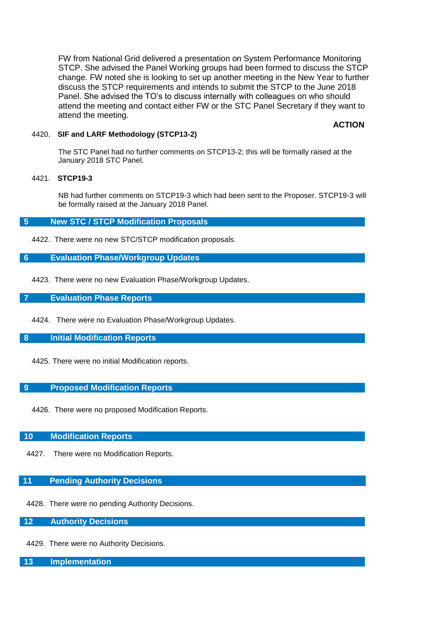FW from National Grid delivered a presentation on System Performance Monitoring STCP. She advised the Panel Working groups had been formed to discuss the STCP change. FW noted she is looking to set up another meeting in the New Year to further discuss the STCP requirements and intends to submit the STCP to the June 2018 Panel. She advised the TO's to discuss internally with colleagues on who should attend the meeting and contact either FW or the STC Panel Secretary if they want to attend the meeting.

## **ACTION**

## 4420. **SIF and LARF Methodology (STCP13-2)**

The STC Panel had no further comments on STCP13-2; this will be formally raised at the January 2018 STC Panel.

#### 4421. **STCP19-3**

NB had further comments on STCP19-3 which had been sent to the Proposer. STCP19-3 will be formally raised at the January 2018 Panel.

### **5 New STC / STCP Modification Proposals**

4422. There were no new STC/STCP modification proposals.

## **6 Evaluation Phase/Workgroup Updates**

4423. There were no new Evaluation Phase/Workgroup Updates.

## **7 Evaluation Phase Reports**

4424. There were no Evaluation Phase/Workgroup Updates.

#### **8 Initial Modification Reports**

4425. There were no initial Modification reports.

## **9 Proposed Modification Reports**

4426. There were no proposed Modification Reports.

#### **10 Modification Reports**

4427. There were no Modification Reports.

## **11 Pending Authority Decisions**

4428. There were no pending Authority Decisions.

## **12 Authority Decisions**

4429. There were no Authority Decisions.

## **13 Implementation**